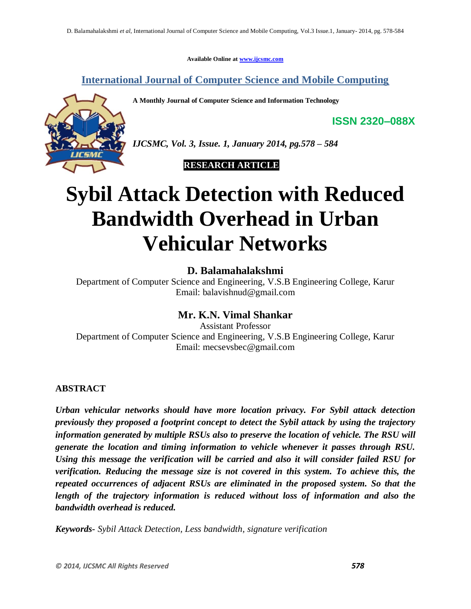**Available Online at www.ijcsmc.com**

**International Journal of Computer Science and Mobile Computing**

**A Monthly Journal of Computer Science and Information Technology**



*IJCSMC, Vol. 3, Issue. 1, January 2014, pg.578 – 584*

 **RESEARCH ARTICLE**

# **Sybil Attack Detection with Reduced Bandwidth Overhead in Urban Vehicular Networks**

**D. Balamahalakshmi**

Department of Computer Science and Engineering, V.S.B Engineering College, Karur Email: balavishnud@gmail.com

## **Mr. K.N. Vimal Shankar**

Assistant Professor Department of Computer Science and Engineering, V.S.B Engineering College, Karur Email: mecsevsbec@gmail.com

## **ABSTRACT**

*Urban vehicular networks should have more location privacy. For Sybil attack detection previously they proposed a footprint concept to detect the Sybil attack by using the trajectory information generated by multiple RSUs also to preserve the location of vehicle. The RSU will generate the location and timing information to vehicle whenever it passes through RSU. Using this message the verification will be carried and also it will consider failed RSU for verification. Reducing the message size is not covered in this system. To achieve this, the repeated occurrences of adjacent RSUs are eliminated in the proposed system. So that the length of the trajectory information is reduced without loss of information and also the bandwidth overhead is reduced.*

*Keywords- Sybil Attack Detection, Less bandwidth, signature verification*

**ISSN 2320–088X**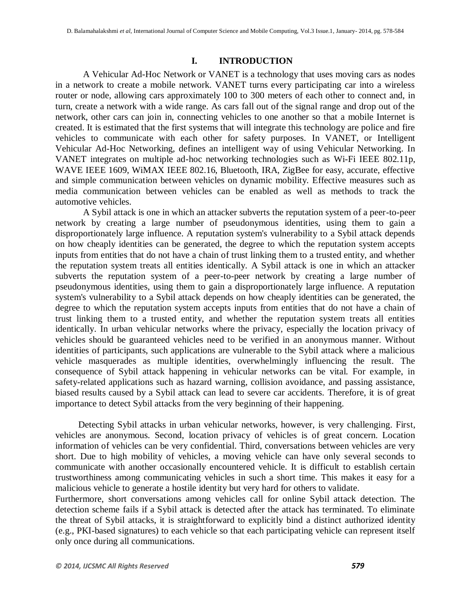### **I. INTRODUCTION**

A Vehicular Ad-Hoc Network or VANET is a technology that uses moving cars as nodes in a network to create a mobile network. VANET turns every participating car into a wireless router or node, allowing cars approximately 100 to 300 meters of each other to connect and, in turn, create a network with a wide range. As cars fall out of the signal range and drop out of the network, other cars can join in, connecting vehicles to one another so that a mobile Internet is created. It is estimated that the first systems that will integrate this technology are police and fire vehicles to communicate with each other for safety purposes. In VANET, or Intelligent Vehicular Ad-Hoc Networking, defines an intelligent way of using Vehicular Networking. In VANET integrates on multiple ad-hoc networking technologies such as Wi-Fi IEEE 802.11p, WAVE IEEE 1609, WiMAX IEEE 802.16, Bluetooth, IRA, ZigBee for easy, accurate, effective and simple communication between vehicles on dynamic mobility. Effective measures such as media communication between vehicles can be enabled as well as methods to track the automotive vehicles.

 A Sybil attack is one in which an attacker subverts the reputation system of a peer-to-peer network by creating a large number of pseudonymous identities, using them to gain a disproportionately large influence. A reputation system's vulnerability to a Sybil attack depends on how cheaply identities can be generated, the degree to which the reputation system accepts inputs from entities that do not have a chain of trust linking them to a trusted entity, and whether the reputation system treats all entities identically. A Sybil attack is one in which an attacker subverts the reputation system of a peer-to-peer network by creating a large number of pseudonymous identities, using them to gain a disproportionately large influence. A reputation system's vulnerability to a Sybil attack depends on how cheaply identities can be generated, the degree to which the reputation system accepts inputs from entities that do not have a chain of trust linking them to a trusted entity, and whether the reputation system treats all entities identically. In urban vehicular networks where the privacy, especially the location privacy of vehicles should be guaranteed vehicles need to be verified in an anonymous manner. Without identities of participants, such applications are vulnerable to the Sybil attack where a malicious vehicle masquerades as multiple identities, overwhelmingly influencing the result. The consequence of Sybil attack happening in vehicular networks can be vital. For example, in safety-related applications such as hazard warning, collision avoidance, and passing assistance, biased results caused by a Sybil attack can lead to severe car accidents. Therefore, it is of great importance to detect Sybil attacks from the very beginning of their happening.

 Detecting Sybil attacks in urban vehicular networks, however, is very challenging. First, vehicles are anonymous. Second, location privacy of vehicles is of great concern. Location information of vehicles can be very confidential. Third, conversations between vehicles are very short. Due to high mobility of vehicles, a moving vehicle can have only several seconds to communicate with another occasionally encountered vehicle. It is difficult to establish certain trustworthiness among communicating vehicles in such a short time. This makes it easy for a malicious vehicle to generate a hostile identity but very hard for others to validate.

Furthermore, short conversations among vehicles call for online Sybil attack detection. The detection scheme fails if a Sybil attack is detected after the attack has terminated. To eliminate the threat of Sybil attacks, it is straightforward to explicitly bind a distinct authorized identity (e.g., PKI-based signatures) to each vehicle so that each participating vehicle can represent itself only once during all communications.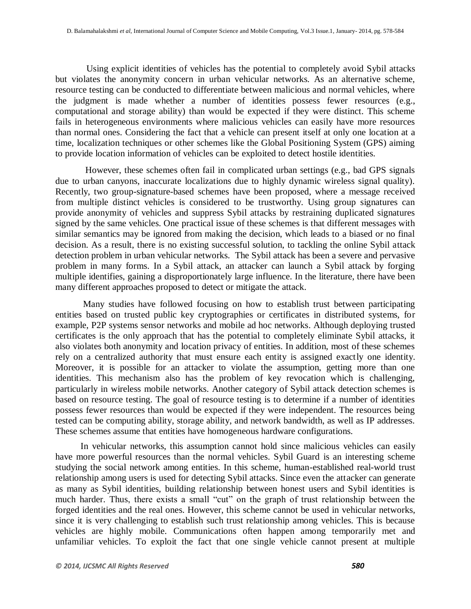Using explicit identities of vehicles has the potential to completely avoid Sybil attacks but violates the anonymity concern in urban vehicular networks. As an alternative scheme, resource testing can be conducted to differentiate between malicious and normal vehicles, where the judgment is made whether a number of identities possess fewer resources (e.g., computational and storage ability) than would be expected if they were distinct. This scheme fails in heterogeneous environments where malicious vehicles can easily have more resources than normal ones. Considering the fact that a vehicle can present itself at only one location at a time, localization techniques or other schemes like the Global Positioning System (GPS) aiming to provide location information of vehicles can be exploited to detect hostile identities.

 However, these schemes often fail in complicated urban settings (e.g., bad GPS signals due to urban canyons, inaccurate localizations due to highly dynamic wireless signal quality). Recently, two group-signature-based schemes have been proposed, where a message received from multiple distinct vehicles is considered to be trustworthy. Using group signatures can provide anonymity of vehicles and suppress Sybil attacks by restraining duplicated signatures signed by the same vehicles. One practical issue of these schemes is that different messages with similar semantics may be ignored from making the decision, which leads to a biased or no final decision. As a result, there is no existing successful solution, to tackling the online Sybil attack detection problem in urban vehicular networks. The Sybil attack has been a severe and pervasive problem in many forms. In a Sybil attack, an attacker can launch a Sybil attack by forging multiple identifies, gaining a disproportionately large influence. In the literature, there have been many different approaches proposed to detect or mitigate the attack.

Many studies have followed focusing on how to establish trust between participating entities based on trusted public key cryptographies or certificates in distributed systems, for example, P2P systems sensor networks and mobile ad hoc networks. Although deploying trusted certificates is the only approach that has the potential to completely eliminate Sybil attacks, it also violates both anonymity and location privacy of entities. In addition, most of these schemes rely on a centralized authority that must ensure each entity is assigned exactly one identity. Moreover, it is possible for an attacker to violate the assumption, getting more than one identities. This mechanism also has the problem of key revocation which is challenging, particularly in wireless mobile networks. Another category of Sybil attack detection schemes is based on resource testing. The goal of resource testing is to determine if a number of identities possess fewer resources than would be expected if they were independent. The resources being tested can be computing ability, storage ability, and network bandwidth, as well as IP addresses. These schemes assume that entities have homogeneous hardware configurations.

 In vehicular networks, this assumption cannot hold since malicious vehicles can easily have more powerful resources than the normal vehicles. Sybil Guard is an interesting scheme studying the social network among entities. In this scheme, human-established real-world trust relationship among users is used for detecting Sybil attacks. Since even the attacker can generate as many as Sybil identities, building relationship between honest users and Sybil identities is much harder. Thus, there exists a small "cut" on the graph of trust relationship between the forged identities and the real ones. However, this scheme cannot be used in vehicular networks, since it is very challenging to establish such trust relationship among vehicles. This is because vehicles are highly mobile. Communications often happen among temporarily met and unfamiliar vehicles. To exploit the fact that one single vehicle cannot present at multiple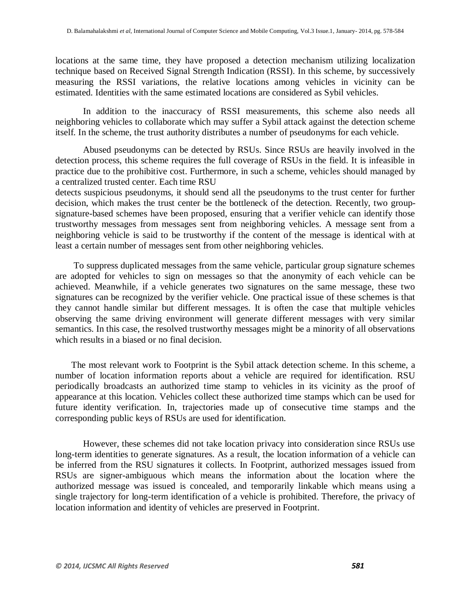locations at the same time, they have proposed a detection mechanism utilizing localization technique based on Received Signal Strength Indication (RSSI). In this scheme, by successively measuring the RSSI variations, the relative locations among vehicles in vicinity can be estimated. Identities with the same estimated locations are considered as Sybil vehicles.

In addition to the inaccuracy of RSSI measurements, this scheme also needs all neighboring vehicles to collaborate which may suffer a Sybil attack against the detection scheme itself. In the scheme, the trust authority distributes a number of pseudonyms for each vehicle.

Abused pseudonyms can be detected by RSUs. Since RSUs are heavily involved in the detection process, this scheme requires the full coverage of RSUs in the field. It is infeasible in practice due to the prohibitive cost. Furthermore, in such a scheme, vehicles should managed by a centralized trusted center. Each time RSU

detects suspicious pseudonyms, it should send all the pseudonyms to the trust center for further decision, which makes the trust center be the bottleneck of the detection. Recently, two groupsignature-based schemes have been proposed, ensuring that a verifier vehicle can identify those trustworthy messages from messages sent from neighboring vehicles. A message sent from a neighboring vehicle is said to be trustworthy if the content of the message is identical with at least a certain number of messages sent from other neighboring vehicles.

 To suppress duplicated messages from the same vehicle, particular group signature schemes are adopted for vehicles to sign on messages so that the anonymity of each vehicle can be achieved. Meanwhile, if a vehicle generates two signatures on the same message, these two signatures can be recognized by the verifier vehicle. One practical issue of these schemes is that they cannot handle similar but different messages. It is often the case that multiple vehicles observing the same driving environment will generate different messages with very similar semantics. In this case, the resolved trustworthy messages might be a minority of all observations which results in a biased or no final decision.

 The most relevant work to Footprint is the Sybil attack detection scheme. In this scheme, a number of location information reports about a vehicle are required for identification. RSU periodically broadcasts an authorized time stamp to vehicles in its vicinity as the proof of appearance at this location. Vehicles collect these authorized time stamps which can be used for future identity verification. In, trajectories made up of consecutive time stamps and the corresponding public keys of RSUs are used for identification.

However, these schemes did not take location privacy into consideration since RSUs use long-term identities to generate signatures. As a result, the location information of a vehicle can be inferred from the RSU signatures it collects. In Footprint, authorized messages issued from RSUs are signer-ambiguous which means the information about the location where the authorized message was issued is concealed, and temporarily linkable which means using a single trajectory for long-term identification of a vehicle is prohibited. Therefore, the privacy of location information and identity of vehicles are preserved in Footprint.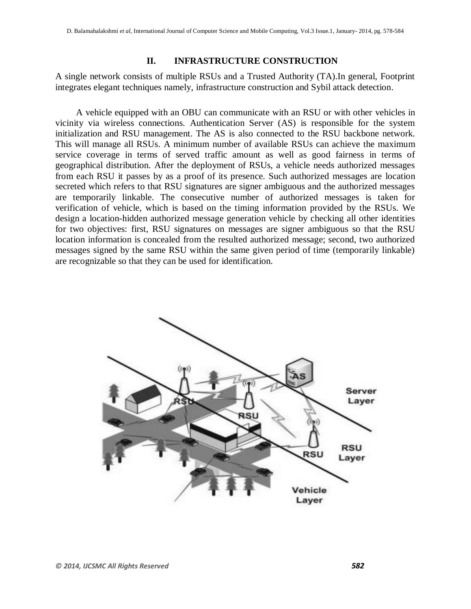#### **II. INFRASTRUCTURE CONSTRUCTION**

A single network consists of multiple RSUs and a Trusted Authority (TA).In general, Footprint integrates elegant techniques namely, infrastructure construction and Sybil attack detection.

 A vehicle equipped with an OBU can communicate with an RSU or with other vehicles in vicinity via wireless connections. Authentication Server (AS) is responsible for the system initialization and RSU management. The AS is also connected to the RSU backbone network. This will manage all RSUs. A minimum number of available RSUs can achieve the maximum service coverage in terms of served traffic amount as well as good fairness in terms of geographical distribution. After the deployment of RSUs, a vehicle needs authorized messages from each RSU it passes by as a proof of its presence. Such authorized messages are location secreted which refers to that RSU signatures are signer ambiguous and the authorized messages are temporarily linkable. The consecutive number of authorized messages is taken for verification of vehicle, which is based on the timing information provided by the RSUs. We design a location-hidden authorized message generation vehicle by checking all other identities for two objectives: first, RSU signatures on messages are signer ambiguous so that the RSU location information is concealed from the resulted authorized message; second, two authorized messages signed by the same RSU within the same given period of time (temporarily linkable) are recognizable so that they can be used for identification.

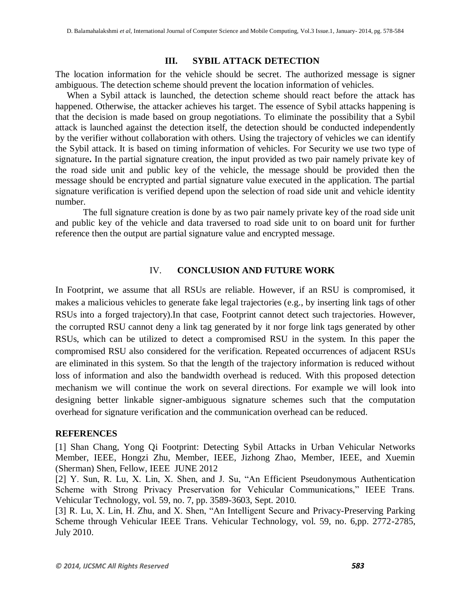#### **III. SYBIL ATTACK DETECTION**

The location information for the vehicle should be secret. The authorized message is signer ambiguous. The detection scheme should prevent the location information of vehicles.

When a Sybil attack is launched, the detection scheme should react before the attack has happened. Otherwise, the attacker achieves his target. The essence of Sybil attacks happening is that the decision is made based on group negotiations. To eliminate the possibility that a Sybil attack is launched against the detection itself, the detection should be conducted independently by the verifier without collaboration with others. Using the trajectory of vehicles we can identify the Sybil attack. It is based on timing information of vehicles. For Security we use two type of signature**.** In the partial signature creation, the input provided as two pair namely private key of the road side unit and public key of the vehicle, the message should be provided then the message should be encrypted and partial signature value executed in the application. The partial signature verification is verified depend upon the selection of road side unit and vehicle identity number.

The full signature creation is done by as two pair namely private key of the road side unit and public key of the vehicle and data traversed to road side unit to on board unit for further reference then the output are partial signature value and encrypted message.

#### IV. **CONCLUSION AND FUTURE WORK**

In Footprint, we assume that all RSUs are reliable. However, if an RSU is compromised, it makes a malicious vehicles to generate fake legal trajectories (e.g., by inserting link tags of other RSUs into a forged trajectory).In that case, Footprint cannot detect such trajectories. However, the corrupted RSU cannot deny a link tag generated by it nor forge link tags generated by other RSUs, which can be utilized to detect a compromised RSU in the system. In this paper the compromised RSU also considered for the verification. Repeated occurrences of adjacent RSUs are eliminated in this system. So that the length of the trajectory information is reduced without loss of information and also the bandwidth overhead is reduced. With this proposed detection mechanism we will continue the work on several directions. For example we will look into designing better linkable signer-ambiguous signature schemes such that the computation overhead for signature verification and the communication overhead can be reduced.

#### **REFERENCES**

[1] Shan Chang, Yong Qi Footprint: Detecting Sybil Attacks in Urban Vehicular Networks Member, IEEE, Hongzi Zhu, Member, IEEE, Jizhong Zhao, Member, IEEE, and Xuemin (Sherman) Shen, Fellow, IEEE JUNE 2012

[2] Y. Sun, R. Lu, X. Lin, X. Shen, and J. Su, "An Efficient Pseudonymous Authentication Scheme with Strong Privacy Preservation for Vehicular Communications," IEEE Trans. Vehicular Technology, vol. 59, no. 7, pp. 3589-3603, Sept. 2010.

[3] R. Lu, X. Lin, H. Zhu, and X. Shen, "An Intelligent Secure and Privacy-Preserving Parking Scheme through Vehicular IEEE Trans. Vehicular Technology, vol. 59, no. 6,pp. 2772-2785, July 2010.